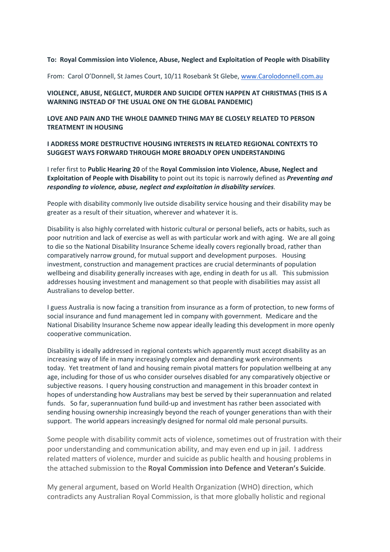### **To: Royal Commission into Violence, Abuse, Neglect and Exploitation of People with Disability**

From: Carol O'Donnell, St James Court, 10/11 Rosebank St Glebe, www.Carolodonnell.com.au

### **VIOLENCE, ABUSE, NEGLECT, MURDER AND SUICIDE OFTEN HAPPEN AT CHRISTMAS (THIS IS A WARNING INSTEAD OF THE USUAL ONE ON THE GLOBAL PANDEMIC)**

### **LOVE AND PAIN AND THE WHOLE DAMNED THING MAY BE CLOSELY RELATED TO PERSON TREATMENT IN HOUSING**

### **I ADDRESS MORE DESTRUCTIVE HOUSING INTERESTS IN RELATED REGIONAL CONTEXTS TO SUGGEST WAYS FORWARD THROUGH MORE BROADLY OPEN UNDERSTANDING**

I refer first to **Public Hearing 20** of the **Royal Commission into Violence, Abuse, Neglect and Exploitation of People with Disability** to point out its topic is narrowly defined as *Preventing and responding to violence, abuse, neglect and exploitation in disability services*.

People with disability commonly live outside disability service housing and their disability may be greater as a result of their situation, wherever and whatever it is.

Disability is also highly correlated with historic cultural or personal beliefs, acts or habits, such as poor nutrition and lack of exercise as well as with particular work and with aging. We are all going to die so the National Disability Insurance Scheme ideally covers regionally broad, rather than comparatively narrow ground, for mutual support and development purposes. Housing investment, construction and management practices are crucial determinants of population wellbeing and disability generally increases with age, ending in death for us all. This submission addresses housing investment and management so that people with disabilities may assist all Australians to develop better.

I guess Australia is now facing a transition from insurance as a form of protection, to new forms of social insurance and fund management led in company with government. Medicare and the National Disability Insurance Scheme now appear ideally leading this development in more openly cooperative communication.

Disability is ideally addressed in regional contexts which apparently must accept disability as an increasing way of life in many increasingly complex and demanding work environments today. Yet treatment of land and housing remain pivotal matters for population wellbeing at any age, including for those of us who consider ourselves disabled for any comparatively objective or subjective reasons. I query housing construction and management in this broader context in hopes of understanding how Australians may best be served by their superannuation and related funds. So far, superannuation fund build-up and investment has rather been associated with sending housing ownership increasingly beyond the reach of younger generations than with their support. The world appears increasingly designed for normal old male personal pursuits.

Some people with disability commit acts of violence, sometimes out of frustration with their poor understanding and communication ability, and may even end up in jail. I address related matters of violence, murder and suicide as public health and housing problems in the attached submission to the **Royal Commission into Defence and Veteran's Suicide**.

My general argument, based on World Health Organization (WHO) direction, which contradicts any Australian Royal Commission, is that more globally holistic and regional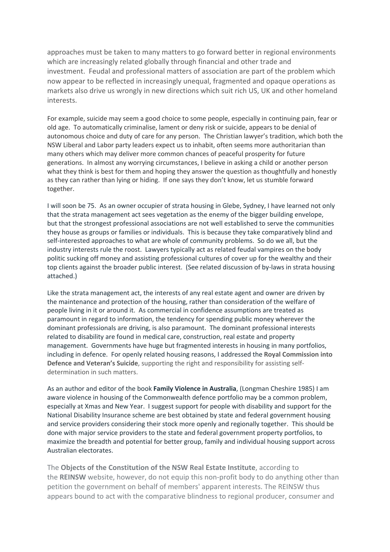approaches must be taken to many matters to go forward better in regional environments which are increasingly related globally through financial and other trade and investment. Feudal and professional matters of association are part of the problem which now appear to be reflected in increasingly unequal, fragmented and opaque operations as markets also drive us wrongly in new directions which suit rich US, UK and other homeland interests.

For example, suicide may seem a good choice to some people, especially in continuing pain, fear or old age. To automatically criminalise, lament or deny risk or suicide, appears to be denial of autonomous choice and duty of care for any person. The Christian lawyer's tradition, which both the NSW Liberal and Labor party leaders expect us to inhabit, often seems more authoritarian than many others which may deliver more common chances of peaceful prosperity for future generations. In almost any worrying circumstances, I believe in asking a child or another person what they think is best for them and hoping they answer the question as thoughtfully and honestly as they can rather than lying or hiding. If one says they don't know, let us stumble forward together.

I will soon be 75. As an owner occupier of strata housing in Glebe, Sydney, I have learned not only that the strata management act sees vegetation as the enemy of the bigger building envelope, but that the strongest professional associations are not well established to serve the communities they house as groups or families or individuals. This is because they take comparatively blind and self-interested approaches to what are whole of community problems. So do we all, but the industry interests rule the roost. Lawyers typically act as related feudal vampires on the body politic sucking off money and assisting professional cultures of cover up for the wealthy and their top clients against the broader public interest. (See related discussion of by-laws in strata housing attached.)

Like the strata management act, the interests of any real estate agent and owner are driven by the maintenance and protection of the housing, rather than consideration of the welfare of people living in it or around it. As commercial in confidence assumptions are treated as paramount in regard to information, the tendency for spending public money wherever the dominant professionals are driving, is also paramount. The dominant professional interests related to disability are found in medical care, construction, real estate and property management. Governments have huge but fragmented interests in housing in many portfolios, including in defence. For openly related housing reasons, I addressed the **Royal Commission into Defence and Veteran's Suicide**, supporting the right and responsibility for assisting selfdetermination in such matters.

As an author and editor of the book **Family Violence in Australia**, (Longman Cheshire 1985) I am aware violence in housing of the Commonwealth defence portfolio may be a common problem, especially at Xmas and New Year. I suggest support for people with disability and support for the National Disability Insurance scheme are best obtained by state and federal government housing and service providers considering their stock more openly and regionally together. This should be done with major service providers to the state and federal government property portfolios, to maximize the breadth and potential for better group, family and individual housing support across Australian electorates.

The **Objects of the Constitution of the NSW Real Estate Institute**, according to the **REINSW** website, however, do not equip this non-profit body to do anything other than petition the government on behalf of members' apparent interests. The REINSW thus appears bound to act with the comparative blindness to regional producer, consumer and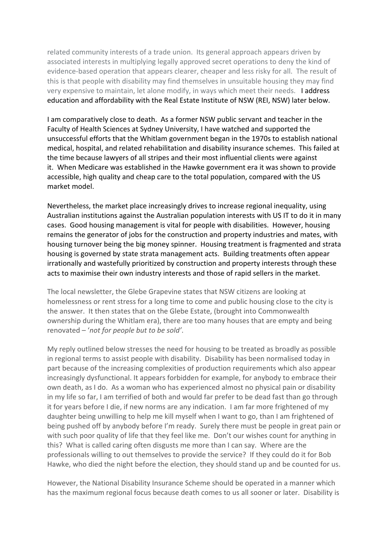related community interests of a trade union. Its general approach appears driven by associated interests in multiplying legally approved secret operations to deny the kind of evidence-based operation that appears clearer, cheaper and less risky for all. The result of this is that people with disability may find themselves in unsuitable housing they may find very expensive to maintain, let alone modify, in ways which meet their needs. I address education and affordability with the Real Estate Institute of NSW (REI, NSW) later below.

I am comparatively close to death. As a former NSW public servant and teacher in the Faculty of Health Sciences at Sydney University, I have watched and supported the unsuccessful efforts that the Whitlam government began in the 1970s to establish national medical, hospital, and related rehabilitation and disability insurance schemes. This failed at the time because lawyers of all stripes and their most influential clients were against it. When Medicare was established in the Hawke government era it was shown to provide accessible, high quality and cheap care to the total population, compared with the US market model.

Nevertheless, the market place increasingly drives to increase regional inequality, using Australian institutions against the Australian population interests with US IT to do it in many cases. Good housing management is vital for people with disabilities. However, housing remains the generator of jobs for the construction and property industries and mates, with housing turnover being the big money spinner. Housing treatment is fragmented and strata housing is governed by state strata management acts. Building treatments often appear irrationally and wastefully prioritized by construction and property interests through these acts to maximise their own industry interests and those of rapid sellers in the market.

The local newsletter, the Glebe Grapevine states that NSW citizens are looking at homelessness or rent stress for a long time to come and public housing close to the city is the answer. It then states that on the Glebe Estate, (brought into Commonwealth ownership during the Whitlam era), there are too many houses that are empty and being renovated – '*not for people but to be sold'*.

My reply outlined below stresses the need for housing to be treated as broadly as possible in regional terms to assist people with disability. Disability has been normalised today in part because of the increasing complexities of production requirements which also appear increasingly dysfunctional. It appears forbidden for example, for anybody to embrace their own death, as I do. As a woman who has experienced almost no physical pain or disability in my life so far, I am terrified of both and would far prefer to be dead fast than go through it for years before I die, if new norms are any indication. I am far more frightened of my daughter being unwilling to help me kill myself when I want to go, than I am frightened of being pushed off by anybody before I'm ready. Surely there must be people in great pain or with such poor quality of life that they feel like me. Don't our wishes count for anything in this? What is called caring often disgusts me more than I can say. Where are the professionals willing to out themselves to provide the service? If they could do it for Bob Hawke, who died the night before the election, they should stand up and be counted for us.

However, the National Disability Insurance Scheme should be operated in a manner which has the maximum regional focus because death comes to us all sooner or later. Disability is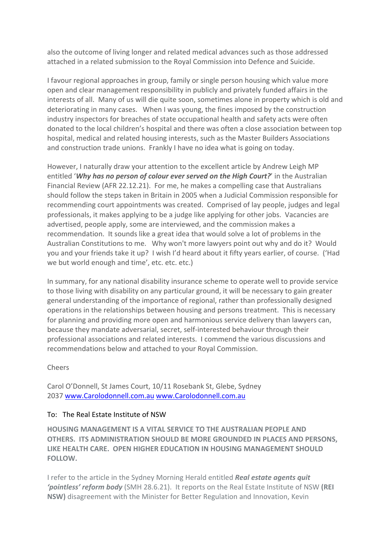also the outcome of living longer and related medical advances such as those addressed attached in a related submission to the Royal Commission into Defence and Suicide.

I favour regional approaches in group, family or single person housing which value more open and clear management responsibility in publicly and privately funded affairs in the interests of all. Many of us will die quite soon, sometimes alone in property which is old and deteriorating in many cases. When I was young, the fines imposed by the construction industry inspectors for breaches of state occupational health and safety acts were often donated to the local children's hospital and there was often a close association between top hospital, medical and related housing interests, such as the Master Builders Associations and construction trade unions. Frankly I have no idea what is going on today.

However, I naturally draw your attention to the excellent article by Andrew Leigh MP entitled '*Why has no person of colour ever served on the High Court?*' in the Australian Financial Review (AFR 22.12.21). For me, he makes a compelling case that Australians should follow the steps taken in Britain in 2005 when a Judicial Commission responsible for recommending court appointments was created. Comprised of lay people, judges and legal professionals, it makes applying to be a judge like applying for other jobs. Vacancies are advertised, people apply, some are interviewed, and the commission makes a recommendation. It sounds like a great idea that would solve a lot of problems in the Australian Constitutions to me. Why won't more lawyers point out why and do it? Would you and your friends take it up? I wish I'd heard about it fifty years earlier, of course. ('Had we but world enough and time', etc. etc. etc.)

In summary, for any national disability insurance scheme to operate well to provide service to those living with disability on any particular ground, it will be necessary to gain greater general understanding of the importance of regional, rather than professionally designed operations in the relationships between housing and persons treatment. This is necessary for planning and providing more open and harmonious service delivery than lawyers can, because they mandate adversarial, secret, self-interested behaviour through their professional associations and related interests. I commend the various discussions and recommendations below and attached to your Royal Commission.

# Cheers

Carol O'Donnell, St James Court, 10/11 Rosebank St, Glebe, Sydney 2037 www.Carolodonnell.com.au www.Carolodonnell.com.au

# To: The Real Estate Institute of NSW

**HOUSING MANAGEMENT IS A VITAL SERVICE TO THE AUSTRALIAN PEOPLE AND OTHERS. ITS ADMINISTRATION SHOULD BE MORE GROUNDED IN PLACES AND PERSONS, LIKE HEALTH CARE. OPEN HIGHER EDUCATION IN HOUSING MANAGEMENT SHOULD FOLLOW.**

I refer to the article in the Sydney Morning Herald entitled *Real estate agents quit 'pointless' reform body* (SMH 28.6.21). It reports on the Real Estate Institute of NSW **(REI NSW)** disagreement with the Minister for Better Regulation and Innovation, Kevin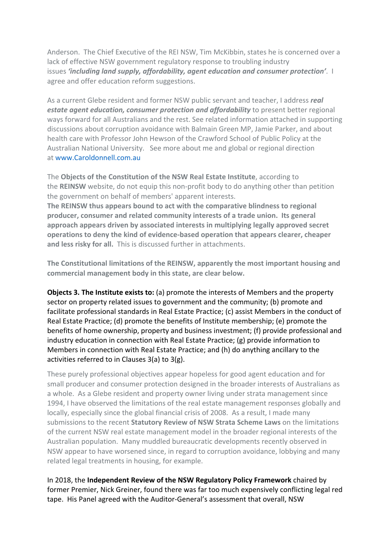Anderson. The Chief Executive of the REI NSW, Tim McKibbin, states he is concerned over a lack of effective NSW government regulatory response to troubling industry issues *'including land supply, affordability, agent education and consumer protection'*. I agree and offer education reform suggestions.

As a current Glebe resident and former NSW public servant and teacher, I address *real estate agent education, consumer protection and affordability* to present better regional ways forward for all Australians and the rest. See related information attached in supporting discussions about corruption avoidance with Balmain Green MP, Jamie Parker, and about health care with Professor John Hewson of the Crawford School of Public Policy at the Australian National University. See more about me and global or regional direction at www.Caroldonnell.com.au

The **Objects of the Constitution of the NSW Real Estate Institute**, according to the **REINSW** website, do not equip this non-profit body to do anything other than petition the government on behalf of members' apparent interests.

**The REINSW thus appears bound to act with the comparative blindness to regional producer, consumer and related community interests of a trade union. Its general approach appears driven by associated interests in multiplying legally approved secret operations to deny the kind of evidence-based operation that appears clearer, cheaper and less risky for all.** This is discussed further in attachments.

**The Constitutional limitations of the REINSW, apparently the most important housing and commercial management body in this state, are clear below.**

**Objects 3. The Institute exists to:** (a) promote the interests of Members and the property sector on property related issues to government and the community; (b) promote and facilitate professional standards in Real Estate Practice; (c) assist Members in the conduct of Real Estate Practice; (d) promote the benefits of Institute membership; (e) promote the benefits of home ownership, property and business investment; (f) provide professional and industry education in connection with Real Estate Practice; (g) provide information to Members in connection with Real Estate Practice; and (h) do anything ancillary to the activities referred to in Clauses 3(a) to 3(g).

These purely professional objectives appear hopeless for good agent education and for small producer and consumer protection designed in the broader interests of Australians as a whole. As a Glebe resident and property owner living under strata management since 1994, I have observed the limitations of the real estate management responses globally and locally, especially since the global financial crisis of 2008. As a result, I made many submissions to the recent **Statutory Review of NSW Strata Scheme Laws** on the limitations of the current NSW real estate management model in the broader regional interests of the Australian population. Many muddled bureaucratic developments recently observed in NSW appear to have worsened since, in regard to corruption avoidance, lobbying and many related legal treatments in housing, for example.

In 2018, the **Independent Review of the NSW Regulatory Policy Framework** chaired by former Premier, Nick Greiner, found there was far too much expensively conflicting legal red tape. His Panel agreed with the Auditor-General's assessment that overall, NSW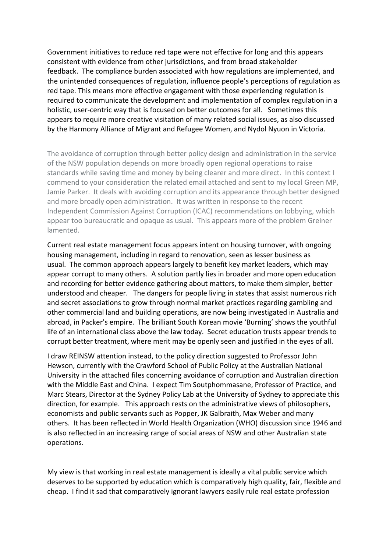Government initiatives to reduce red tape were not effective for long and this appears consistent with evidence from other jurisdictions, and from broad stakeholder feedback. The compliance burden associated with how regulations are implemented, and the unintended consequences of regulation, influence people's perceptions of regulation as red tape. This means more effective engagement with those experiencing regulation is required to communicate the development and implementation of complex regulation in a holistic, user-centric way that is focused on better outcomes for all. Sometimes this appears to require more creative visitation of many related social issues, as also discussed by the Harmony Alliance of Migrant and Refugee Women, and Nydol Nyuon in Victoria.

The avoidance of corruption through better policy design and administration in the service of the NSW population depends on more broadly open regional operations to raise standards while saving time and money by being clearer and more direct. In this context I commend to your consideration the related email attached and sent to my local Green MP, Jamie Parker. It deals with avoiding corruption and its appearance through better designed and more broadly open administration. It was written in response to the recent Independent Commission Against Corruption (ICAC) recommendations on lobbying, which appear too bureaucratic and opaque as usual. This appears more of the problem Greiner lamented.

Current real estate management focus appears intent on housing turnover, with ongoing housing management, including in regard to renovation, seen as lesser business as usual. The common approach appears largely to benefit key market leaders, which may appear corrupt to many others. A solution partly lies in broader and more open education and recording for better evidence gathering about matters, to make them simpler, better understood and cheaper. The dangers for people living in states that assist numerous rich and secret associations to grow through normal market practices regarding gambling and other commercial land and building operations, are now being investigated in Australia and abroad, in Packer's empire. The brilliant South Korean movie 'Burning' shows the youthful life of an international class above the law today. Secret education trusts appear trends to corrupt better treatment, where merit may be openly seen and justified in the eyes of all.

I draw REINSW attention instead, to the policy direction suggested to Professor John Hewson, currently with the Crawford School of Public Policy at the Australian National University in the attached files concerning avoidance of corruption and Australian direction with the Middle East and China. I expect Tim Soutphommasane, Professor of Practice, and Marc Stears, Director at the Sydney Policy Lab at the University of Sydney to appreciate this direction, for example. This approach rests on the administrative views of philosophers, economists and public servants such as Popper, JK Galbraith, Max Weber and many others. It has been reflected in World Health Organization (WHO) discussion since 1946 and is also reflected in an increasing range of social areas of NSW and other Australian state operations.

My view is that working in real estate management is ideally a vital public service which deserves to be supported by education which is comparatively high quality, fair, flexible and cheap. I find it sad that comparatively ignorant lawyers easily rule real estate profession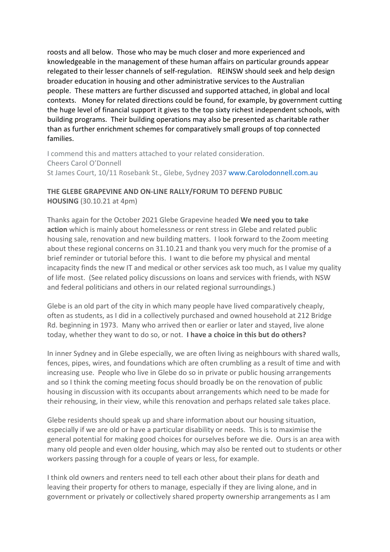roosts and all below. Those who may be much closer and more experienced and knowledgeable in the management of these human affairs on particular grounds appear relegated to their lesser channels of self-regulation. REINSW should seek and help design broader education in housing and other administrative services to the Australian people. These matters are further discussed and supported attached, in global and local contexts. Money for related directions could be found, for example, by government cutting the huge level of financial support it gives to the top sixty richest independent schools, with building programs. Their building operations may also be presented as charitable rather than as further enrichment schemes for comparatively small groups of top connected families.

I commend this and matters attached to your related consideration. Cheers Carol O'Donnell St James Court, 10/11 Rosebank St., Glebe, Sydney 2037 www.Carolodonnell.com.au

# **THE GLEBE GRAPEVINE AND ON-LINE RALLY/FORUM TO DEFEND PUBLIC HOUSING** (30.10.21 at 4pm)

Thanks again for the October 2021 Glebe Grapevine headed **We need you to take action** which is mainly about homelessness or rent stress in Glebe and related public housing sale, renovation and new building matters. I look forward to the Zoom meeting about these regional concerns on 31.10.21 and thank you very much for the promise of a brief reminder or tutorial before this. I want to die before my physical and mental incapacity finds the new IT and medical or other services ask too much, as I value my quality of life most. (See related policy discussions on loans and services with friends, with NSW and federal politicians and others in our related regional surroundings.)

Glebe is an old part of the city in which many people have lived comparatively cheaply, often as students, as I did in a collectively purchased and owned household at 212 Bridge Rd. beginning in 1973. Many who arrived then or earlier or later and stayed, live alone today, whether they want to do so, or not. **I have a choice in this but do others?**

In inner Sydney and in Glebe especially, we are often living as neighbours with shared walls, fences, pipes, wires, and foundations which are often crumbling as a result of time and with increasing use. People who live in Glebe do so in private or public housing arrangements and so I think the coming meeting focus should broadly be on the renovation of public housing in discussion with its occupants about arrangements which need to be made for their rehousing, in their view, while this renovation and perhaps related sale takes place.

Glebe residents should speak up and share information about our housing situation, especially if we are old or have a particular disability or needs. This is to maximise the general potential for making good choices for ourselves before we die. Ours is an area with many old people and even older housing, which may also be rented out to students or other workers passing through for a couple of years or less, for example.

I think old owners and renters need to tell each other about their plans for death and leaving their property for others to manage, especially if they are living alone, and in government or privately or collectively shared property ownership arrangements as I am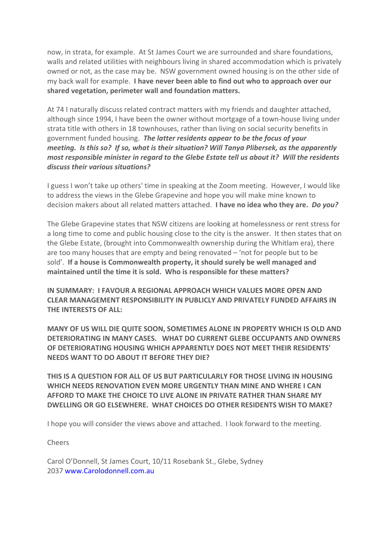now, in strata, for example. At St James Court we are surrounded and share foundations, walls and related utilities with neighbours living in shared accommodation which is privately owned or not, as the case may be. NSW government owned housing is on the other side of my back wall for example. **I have never been able to find out who to approach over our shared vegetation, perimeter wall and foundation matters.**

At 74 I naturally discuss related contract matters with my friends and daughter attached, although since 1994, I have been the owner without mortgage of a town-house living under strata title with others in 18 townhouses, rather than living on social security benefits in government funded housing. *The latter residents appear to be the focus of your meeting. Is this so? If so, what is their situation? Will Tanya Plibersek, as the apparently most responsible minister in regard to the Glebe Estate tell us about it? Will the residents discuss their various situations?*

I guess I won't take up others' time in speaking at the Zoom meeting. However, I would like to address the views in the Glebe Grapevine and hope you will make mine known to decision makers about all related matters attached. **I have no idea who they are.** *Do you?*

The Glebe Grapevine states that NSW citizens are looking at homelessness or rent stress for a long time to come and public housing close to the city is the answer. It then states that on the Glebe Estate, (brought into Commonwealth ownership during the Whitlam era), there are too many houses that are empty and being renovated – 'not for people but to be sold'. **If a house is Commonwealth property, it should surely be well managed and maintained until the time it is sold. Who is responsible for these matters?**

**IN SUMMARY: I FAVOUR A REGIONAL APPROACH WHICH VALUES MORE OPEN AND CLEAR MANAGEMENT RESPONSIBILITY IN PUBLICLY AND PRIVATELY FUNDED AFFAIRS IN THE INTERESTS OF ALL:**

**MANY OF US WILL DIE QUITE SOON, SOMETIMES ALONE IN PROPERTY WHICH IS OLD AND DETERIORATING IN MANY CASES. WHAT DO CURRENT GLEBE OCCUPANTS AND OWNERS OF DETERIORATING HOUSING WHICH APPARENTLY DOES NOT MEET THEIR RESIDENTS' NEEDS WANT TO DO ABOUT IT BEFORE THEY DIE?**

**THIS IS A QUESTION FOR ALL OF US BUT PARTICULARLY FOR THOSE LIVING IN HOUSING WHICH NEEDS RENOVATION EVEN MORE URGENTLY THAN MINE AND WHERE I CAN AFFORD TO MAKE THE CHOICE TO LIVE ALONE IN PRIVATE RATHER THAN SHARE MY DWELLING OR GO ELSEWHERE. WHAT CHOICES DO OTHER RESIDENTS WISH TO MAKE?**

I hope you will consider the views above and attached. I look forward to the meeting.

Cheers

Carol O'Donnell, St James Court, 10/11 Rosebank St., Glebe, Sydney 2037 www.Carolodonnell.com.au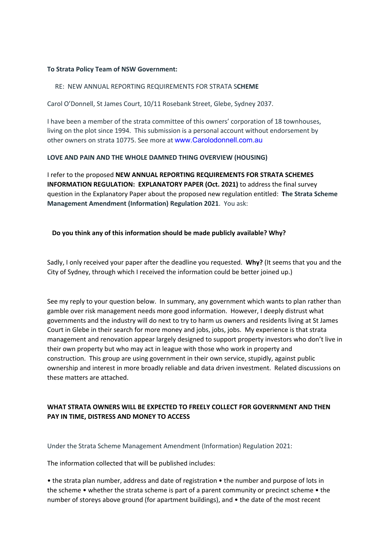### **To Strata Policy Team of NSW Government:**

#### RE: NEW ANNUAL REPORTING REQUIREMENTS FOR STRATA S**CHEME**

Carol O'Donnell, St James Court, 10/11 Rosebank Street, Glebe, Sydney 2037.

I have been a member of the strata committee of this owners' corporation of 18 townhouses, living on the plot since 1994. This submission is a personal account without endorsement by other owners on strata 10775. See more at www.Carolodonnell.com.au

#### **LOVE AND PAIN AND THE WHOLE DAMNED THING OVERVIEW (HOUSING)**

I refer to the proposed **NEW ANNUAL REPORTING REQUIREMENTS FOR STRATA SCHEMES INFORMATION REGULATION: EXPLANATORY PAPER (Oct. 2021)** to address the final survey question in the Explanatory Paper about the proposed new regulation entitled: **The Strata Scheme Management Amendment (Information) Regulation 2021**. You ask:

#### **Do you think any of this information should be made publicly available? Why?**

Sadly, I only received your paper after the deadline you requested. **Why?** (It seems that you and the City of Sydney, through which I received the information could be better joined up.)

See my reply to your question below. In summary, any government which wants to plan rather than gamble over risk management needs more good information. However, I deeply distrust what governments and the industry will do next to try to harm us owners and residents living at St James Court in Glebe in their search for more money and jobs, jobs, jobs. My experience is that strata management and renovation appear largely designed to support property investors who don't live in their own property but who may act in league with those who work in property and construction. This group are using government in their own service, stupidly, against public ownership and interest in more broadly reliable and data driven investment. Related discussions on these matters are attached.

# **WHAT STRATA OWNERS WILL BE EXPECTED TO FREELY COLLECT FOR GOVERNMENT AND THEN PAY IN TIME, DISTRESS AND MONEY TO ACCESS**

Under the Strata Scheme Management Amendment (Information) Regulation 2021:

The information collected that will be published includes:

• the strata plan number, address and date of registration • the number and purpose of lots in the scheme • whether the strata scheme is part of a parent community or precinct scheme • the number of storeys above ground (for apartment buildings), and • the date of the most recent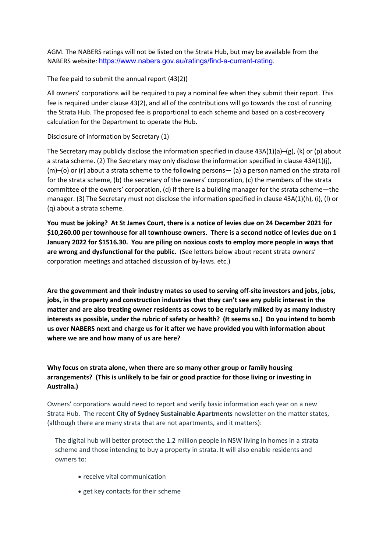AGM. The NABERS ratings will not be listed on the Strata Hub, but may be available from the NABERS website: https://www.nabers.gov.au/ratings/find-a-current-rating.

The fee paid to submit the annual report (43(2))

All owners' corporations will be required to pay a nominal fee when they submit their report. This fee is required under clause 43(2), and all of the contributions will go towards the cost of running the Strata Hub. The proposed fee is proportional to each scheme and based on a cost-recovery calculation for the Department to operate the Hub.

Disclosure of information by Secretary (1)

The Secretary may publicly disclose the information specified in clause  $43A(1)(a)$ –(g), (k) or (p) about a strata scheme. (2) The Secretary may only disclose the information specified in clause 43A(1)(j), (m)–(o) or (r) about a strata scheme to the following persons— (a) a person named on the strata roll for the strata scheme, (b) the secretary of the owners' corporation, (c) the members of the strata committee of the owners' corporation, (d) if there is a building manager for the strata scheme—the manager. (3) The Secretary must not disclose the information specified in clause 43A(1)(h), (i), (l) or (q) about a strata scheme.

**You must be joking? At St James Court, there is a notice of levies due on 24 December 2021 for \$10,260.00 per townhouse for all townhouse owners. There is a second notice of levies due on 1 January 2022 for \$1516.30. You are piling on noxious costs to employ more people in ways that are wrong and dysfunctional for the public.** (See letters below about recent strata owners' corporation meetings and attached discussion of by-laws. etc.)

**Are the government and their industry mates so used to serving off-site investors and jobs, jobs, jobs, in the property and construction industries that they can't see any public interest in the matter and are also treating owner residents as cows to be regularly milked by as many industry interests as possible, under the rubric of safety or health? (It seems so.) Do you intend to bomb us over NABERS next and charge us for it after we have provided you with information about where we are and how many of us are here?**

# **Why focus on strata alone, when there are so many other group or family housing arrangements? (This is unlikely to be fair or good practice for those living or investing in Australia.)**

Owners' corporations would need to report and verify basic information each year on a new Strata Hub. The recent **City of Sydney Sustainable Apartments** newsletter on the matter states, (although there are many strata that are not apartments, and it matters):

The digital hub will better protect the 1.2 million people in NSW living in homes in a strata scheme and those intending to buy a property in strata. It will also enable residents and owners to:

- receive vital communication
- get key contacts for their scheme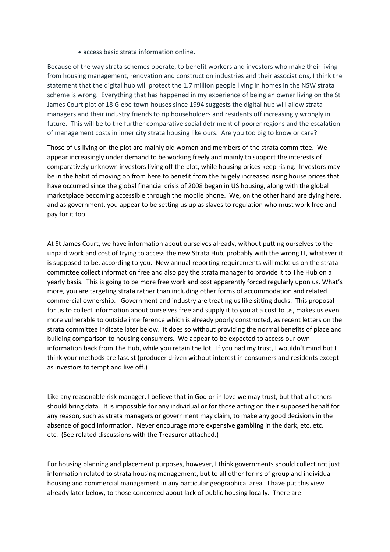• access basic strata information online.

Because of the way strata schemes operate, to benefit workers and investors who make their living from housing management, renovation and construction industries and their associations, I think the statement that the digital hub will protect the 1.7 million people living in homes in the NSW strata scheme is wrong. Everything that has happened in my experience of being an owner living on the St James Court plot of 18 Glebe town-houses since 1994 suggests the digital hub will allow strata managers and their industry friends to rip householders and residents off increasingly wrongly in future. This will be to the further comparative social detriment of poorer regions and the escalation of management costs in inner city strata housing like ours. Are you too big to know or care?

Those of us living on the plot are mainly old women and members of the strata committee. We appear increasingly under demand to be working freely and mainly to support the interests of comparatively unknown investors living off the plot, while housing prices keep rising. Investors may be in the habit of moving on from here to benefit from the hugely increased rising house prices that have occurred since the global financial crisis of 2008 began in US housing, along with the global marketplace becoming accessible through the mobile phone. We, on the other hand are dying here, and as government, you appear to be setting us up as slaves to regulation who must work free and pay for it too.

At St James Court, we have information about ourselves already, without putting ourselves to the unpaid work and cost of trying to access the new Strata Hub, probably with the wrong IT, whatever it is supposed to be, according to you. New annual reporting requirements will make us on the strata committee collect information free and also pay the strata manager to provide it to The Hub on a yearly basis. This is going to be more free work and cost apparently forced regularly upon us. What's more, you are targeting strata rather than including other forms of accommodation and related commercial ownership. Government and industry are treating us like sitting ducks. This proposal for us to collect information about ourselves free and supply it to you at a cost to us, makes us even more vulnerable to outside interference which is already poorly constructed, as recent letters on the strata committee indicate later below. It does so without providing the normal benefits of place and building comparison to housing consumers. We appear to be expected to access our own information back from The Hub, while you retain the lot. If you had my trust, I wouldn't mind but I think your methods are fascist (producer driven without interest in consumers and residents except as investors to tempt and live off.)

Like any reasonable risk manager, I believe that in God or in love we may trust, but that all others should bring data. It is impossible for any individual or for those acting on their supposed behalf for any reason, such as strata managers or government may claim, to make any good decisions in the absence of good information. Never encourage more expensive gambling in the dark, etc. etc. etc. (See related discussions with the Treasurer attached.)

For housing planning and placement purposes, however, I think governments should collect not just information related to strata housing management, but to all other forms of group and individual housing and commercial management in any particular geographical area. I have put this view already later below, to those concerned about lack of public housing locally. There are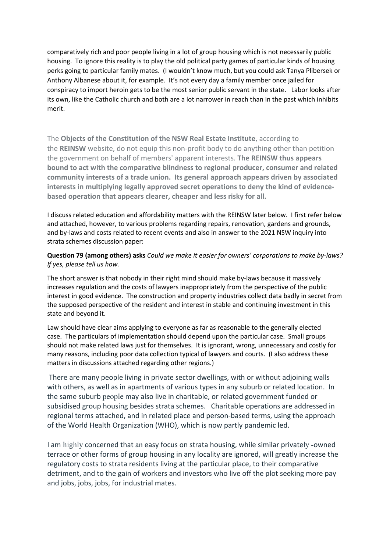comparatively rich and poor people living in a lot of group housing which is not necessarily public housing. To ignore this reality is to play the old political party games of particular kinds of housing perks going to particular family mates. (I wouldn't know much, but you could ask Tanya Plibersek or Anthony Albanese about it, for example. It's not every day a family member once jailed for conspiracy to import heroin gets to be the most senior public servant in the state. Labor looks after its own, like the Catholic church and both are a lot narrower in reach than in the past which inhibits merit.

The **Objects of the Constitution of the NSW Real Estate Institute**, according to the **REINSW** website, do not equip this non-profit body to do anything other than petition the government on behalf of members' apparent interests. **The REINSW thus appears bound to act with the comparative blindness to regional producer, consumer and related community interests of a trade union. Its general approach appears driven by associated interests in multiplying legally approved secret operations to deny the kind of evidencebased operation that appears clearer, cheaper and less risky for all.**

I discuss related education and affordability matters with the REINSW later below. I first refer below and attached, however, to various problems regarding repairs, renovation, gardens and grounds, and by-laws and costs related to recent events and also in answer to the 2021 NSW inquiry into strata schemes discussion paper:

### **Question 79 (among others) asks** *Could we make it easier for owners' corporations to make by-laws? If yes, please tell us how.*

The short answer is that nobody in their right mind should make by-laws because it massively increases regulation and the costs of lawyers inappropriately from the perspective of the public interest in good evidence. The construction and property industries collect data badly in secret from the supposed perspective of the resident and interest in stable and continuing investment in this state and beyond it.

Law should have clear aims applying to everyone as far as reasonable to the generally elected case. The particulars of implementation should depend upon the particular case. Small groups should not make related laws just for themselves. It is ignorant, wrong, unnecessary and costly for many reasons, including poor data collection typical of lawyers and courts. (I also address these matters in discussions attached regarding other regions.)

There are many people living in private sector dwellings, with or without adjoining walls with others, as well as in apartments of various types in any suburb or related location. In the same suburb people may also live in charitable, or related government funded or subsidised group housing besides strata schemes. Charitable operations are addressed in regional terms attached, and in related place and person-based terms, using the approach of the World Health Organization (WHO), which is now partly pandemic led.

I am highly concerned that an easy focus on strata housing, while similar privately -owned terrace or other forms of group housing in any locality are ignored, will greatly increase the regulatory costs to strata residents living at the particular place, to their comparative detriment, and to the gain of workers and investors who live off the plot seeking more pay and jobs, jobs, jobs, for industrial mates.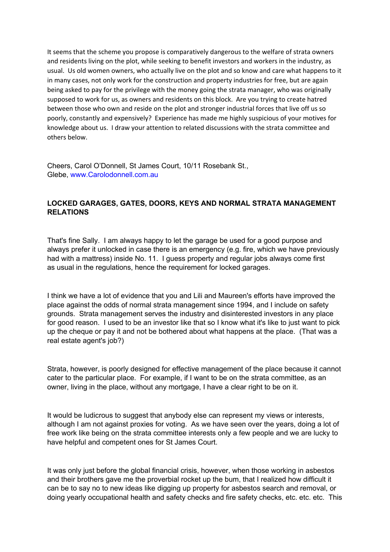It seems that the scheme you propose is comparatively dangerous to the welfare of strata owners and residents living on the plot, while seeking to benefit investors and workers in the industry, as usual. Us old women owners, who actually live on the plot and so know and care what happens to it in many cases, not only work for the construction and property industries for free, but are again being asked to pay for the privilege with the money going the strata manager, who was originally supposed to work for us, as owners and residents on this block. Are you trying to create hatred between those who own and reside on the plot and stronger industrial forces that live off us so poorly, constantly and expensively? Experience has made me highly suspicious of your motives for knowledge about us. I draw your attention to related discussions with the strata committee and others below.

Cheers, Carol O'Donnell, St James Court, 10/11 Rosebank St., Glebe, www.Carolodonnell.com.au

# **LOCKED GARAGES, GATES, DOORS, KEYS AND NORMAL STRATA MANAGEMENT RELATIONS**

That's fine Sally. I am always happy to let the garage be used for a good purpose and always prefer it unlocked in case there is an emergency (e.g. fire, which we have previously had with a mattress) inside No. 11. I guess property and regular jobs always come first as usual in the regulations, hence the requirement for locked garages.

I think we have a lot of evidence that you and Lili and Maureen's efforts have improved the place against the odds of normal strata management since 1994, and I include on safety grounds. Strata management serves the industry and disinterested investors in any place for good reason. I used to be an investor like that so I know what it's like to just want to pick up the cheque or pay it and not be bothered about what happens at the place. (That was a real estate agent's job?)

Strata, however, is poorly designed for effective management of the place because it cannot cater to the particular place. For example, if I want to be on the strata committee, as an owner, living in the place, without any mortgage, I have a clear right to be on it.

It would be ludicrous to suggest that anybody else can represent my views or interests, although I am not against proxies for voting. As we have seen over the years, doing a lot of free work like being on the strata committee interests only a few people and we are lucky to have helpful and competent ones for St James Court.

It was only just before the global financial crisis, however, when those working in asbestos and their brothers gave me the proverbial rocket up the bum, that I realized how difficult it can be to say no to new ideas like digging up property for asbestos search and removal, or doing yearly occupational health and safety checks and fire safety checks, etc. etc. etc. This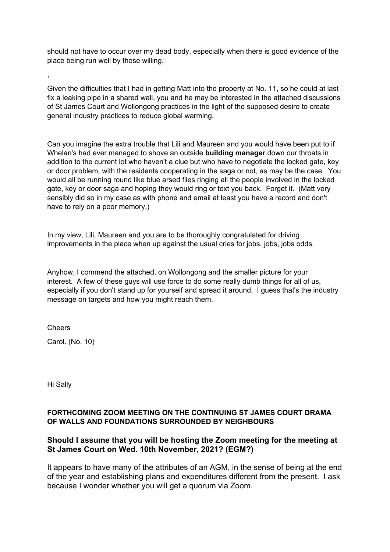should not have to occur over my dead body, especially when there is good evidence of the place being run well by those willing.

Given the difficulties that I had in getting Matt into the property at No. 11, so he could at last fix a leaking pipe in a shared wall, you and he may be interested in the attached discussions of St James Court and Wollongong practices in the light of the supposed desire to create general industry practices to reduce global warming.

Can you imagine the extra trouble that Lili and Maureen and you would have been put to if Whelan's had ever managed to shove an outside **building manager** down our throats in addition to the current lot who haven't a clue but who have to negotiate the locked gate, key or door problem, with the residents cooperating in the saga or not, as may be the case. You would all be running round like blue arsed flies ringing all the people involved in the locked gate, key or door saga and hoping they would ring or text you back. Forget it. (Matt very sensibly did so in my case as with phone and email at least you have a record and don't have to rely on a poor memory,)

In my view, Lili, Maureen and you are to be thoroughly congratulated for driving improvements in the place when up against the usual cries for jobs, jobs, jobs odds.

Anyhow, I commend the attached, on Wollongong and the smaller picture for your interest. A few of these guys will use force to do some really dumb things for all of us, especially if you don't stand up for yourself and spread it around. I guess that's the industry message on targets and how you might reach them.

Cheers

,

Carol. (No. 10)

Hi Sally

## **FORTHCOMING ZOOM MEETING ON THE CONTINUING ST JAMES COURT DRAMA OF WALLS AND FOUNDATIONS SURROUNDED BY NEIGHBOURS**

# **Should I assume that you will be hosting the Zoom meeting for the meeting at St James Court on Wed. 10th November, 2021? (EGM?)**

It appears to have many of the attributes of an AGM, in the sense of being at the end of the year and establishing plans and expenditures different from the present. I ask because I wonder whether you will get a quorum via Zoom.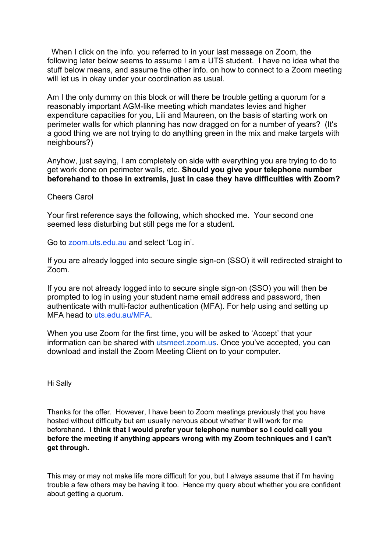When I click on the info. you referred to in your last message on Zoom, the following later below seems to assume I am a UTS student. I have no idea what the stuff below means, and assume the other info. on how to connect to a Zoom meeting will let us in okay under your coordination as usual.

Am I the only dummy on this block or will there be trouble getting a quorum for a reasonably important AGM-like meeting which mandates levies and higher expenditure capacities for you, Lili and Maureen, on the basis of starting work on perimeter walls for which planning has now dragged on for a number of years? (It's a good thing we are not trying to do anything green in the mix and make targets with neighbours?)

Anyhow, just saying, I am completely on side with everything you are trying to do to get work done on perimeter walls, etc. **Should you give your telephone number beforehand to those in extremis, just in case they have difficulties with Zoom?**

### Cheers Carol

Your first reference says the following, which shocked me. Your second one seemed less disturbing but still pegs me for a student.

Go to zoom.uts.edu.au and select 'Log in'.

If you are already logged into secure single sign-on (SSO) it will redirected straight to Zoom.

If you are not already logged into to secure single sign-on (SSO) you will then be prompted to log in using your student name email address and password, then authenticate with multi-factor authentication (MFA). For help using and setting up MFA head to uts.edu.au/MFA.

When you use Zoom for the first time, you will be asked to 'Accept' that your information can be shared with utsmeet.zoom.us. Once you've accepted, you can download and install the Zoom Meeting Client on to your computer.

Hi Sally

Thanks for the offer. However, I have been to Zoom meetings previously that you have hosted without difficulty but am usually nervous about whether it will work for me beforehand. **I think that I would prefer your telephone number so I could call you before the meeting if anything appears wrong with my Zoom techniques and I can't get through.**

This may or may not make life more difficult for you, but I always assume that if I'm having trouble a few others may be having it too. Hence my query about whether you are confident about getting a quorum.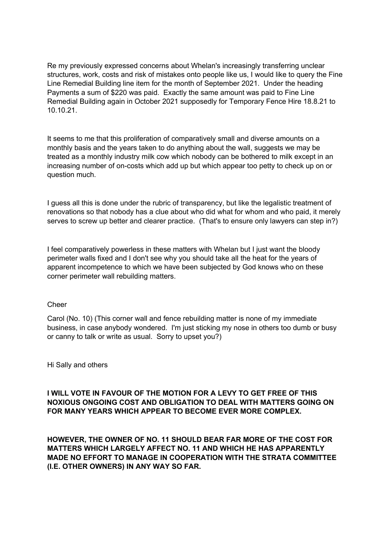Re my previously expressed concerns about Whelan's increasingly transferring unclear structures, work, costs and risk of mistakes onto people like us, I would like to query the Fine Line Remedial Building line item for the month of September 2021. Under the heading Payments a sum of \$220 was paid. Exactly the same amount was paid to Fine Line Remedial Building again in October 2021 supposedly for Temporary Fence Hire 18.8.21 to 10.10.21.

It seems to me that this proliferation of comparatively small and diverse amounts on a monthly basis and the years taken to do anything about the wall, suggests we may be treated as a monthly industry milk cow which nobody can be bothered to milk except in an increasing number of on-costs which add up but which appear too petty to check up on or question much.

I guess all this is done under the rubric of transparency, but like the legalistic treatment of renovations so that nobody has a clue about who did what for whom and who paid, it merely serves to screw up better and clearer practice. (That's to ensure only lawyers can step in?)

I feel comparatively powerless in these matters with Whelan but I just want the bloody perimeter walls fixed and I don't see why you should take all the heat for the years of apparent incompetence to which we have been subjected by God knows who on these corner perimeter wall rebuilding matters.

### Cheer

Carol (No. 10) (This corner wall and fence rebuilding matter is none of my immediate business, in case anybody wondered. I'm just sticking my nose in others too dumb or busy or canny to talk or write as usual. Sorry to upset you?)

Hi Sally and others

# **I WILL VOTE IN FAVOUR OF THE MOTION FOR A LEVY TO GET FREE OF THIS NOXIOUS ONGOING COST AND OBLIGATION TO DEAL WITH MATTERS GOING ON FOR MANY YEARS WHICH APPEAR TO BECOME EVER MORE COMPLEX.**

**HOWEVER, THE OWNER OF NO. 11 SHOULD BEAR FAR MORE OF THE COST FOR MATTERS WHICH LARGELY AFFECT NO. 11 AND WHICH HE HAS APPARENTLY MADE NO EFFORT TO MANAGE IN COOPERATION WITH THE STRATA COMMITTEE (I.E. OTHER OWNERS) IN ANY WAY SO FAR.**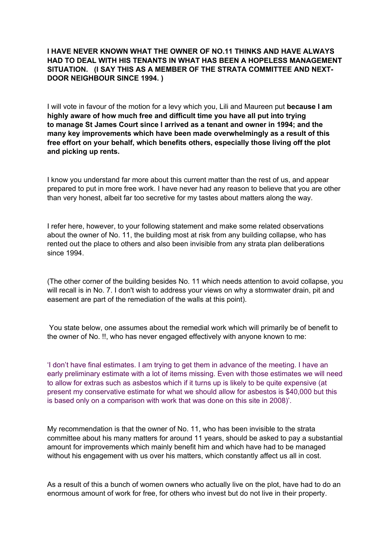## **I HAVE NEVER KNOWN WHAT THE OWNER OF NO.11 THINKS AND HAVE ALWAYS HAD TO DEAL WITH HIS TENANTS IN WHAT HAS BEEN A HOPELESS MANAGEMENT SITUATION. (I SAY THIS AS A MEMBER OF THE STRATA COMMITTEE AND NEXT-DOOR NEIGHBOUR SINCE 1994. )**

I will vote in favour of the motion for a levy which you, Lili and Maureen put **because I am highly aware of how much free and difficult time you have all put into trying to manage St James Court since I arrived as a tenant and owner in 1994; and the many key improvements which have been made overwhelmingly as a result of this free effort on your behalf, which benefits others, especially those living off the plot and picking up rents.**

I know you understand far more about this current matter than the rest of us, and appear prepared to put in more free work. I have never had any reason to believe that you are other than very honest, albeit far too secretive for my tastes about matters along the way.

I refer here, however, to your following statement and make some related observations about the owner of No. 11, the building most at risk from any building collapse, who has rented out the place to others and also been invisible from any strata plan deliberations since 1994.

(The other corner of the building besides No. 11 which needs attention to avoid collapse, you will recall is in No. 7. I don't wish to address your views on why a stormwater drain, pit and easement are part of the remediation of the walls at this point).

You state below, one assumes about the remedial work which will primarily be of benefit to the owner of No. !!, who has never engaged effectively with anyone known to me:

'I don't have final estimates. I am trying to get them in advance of the meeting. I have an early preliminary estimate with a lot of items missing. Even with those estimates we will need to allow for extras such as asbestos which if it turns up is likely to be quite expensive (at present my conservative estimate for what we should allow for asbestos is \$40,000 but this is based only on a comparison with work that was done on this site in 2008)'.

My recommendation is that the owner of No. 11, who has been invisible to the strata committee about his many matters for around 11 years, should be asked to pay a substantial amount for improvements which mainly benefit him and which have had to be managed without his engagement with us over his matters, which constantly affect us all in cost.

As a result of this a bunch of women owners who actually live on the plot, have had to do an enormous amount of work for free, for others who invest but do not live in their property.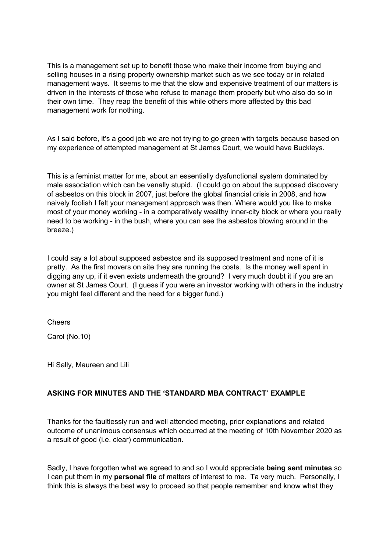This is a management set up to benefit those who make their income from buying and selling houses in a rising property ownership market such as we see today or in related management ways. It seems to me that the slow and expensive treatment of our matters is driven in the interests of those who refuse to manage them properly but who also do so in their own time. They reap the benefit of this while others more affected by this bad management work for nothing.

As I said before, it's a good job we are not trying to go green with targets because based on my experience of attempted management at St James Court, we would have Buckleys.

This is a feminist matter for me, about an essentially dysfunctional system dominated by male association which can be venally stupid. (I could go on about the supposed discovery of asbestos on this block in 2007, just before the global financial crisis in 2008, and how naively foolish I felt your management approach was then. Where would you like to make most of your money working - in a comparatively wealthy inner-city block or where you really need to be working - in the bush, where you can see the asbestos blowing around in the breeze.)

I could say a lot about supposed asbestos and its supposed treatment and none of it is pretty. As the first movers on site they are running the costs. Is the money well spent in digging any up, if it even exists underneath the ground? I very much doubt it if you are an owner at St James Court. (I guess if you were an investor working with others in the industry you might feel different and the need for a bigger fund.)

Cheers

Carol (No.10)

Hi Sally, Maureen and Lili

# **ASKING FOR MINUTES AND THE 'STANDARD MBA CONTRACT' EXAMPLE**

Thanks for the faultlessly run and well attended meeting, prior explanations and related outcome of unanimous consensus which occurred at the meeting of 10th November 2020 as a result of good (i.e. clear) communication.

Sadly, I have forgotten what we agreed to and so I would appreciate **being sent minutes** so I can put them in my **personal file** of matters of interest to me. Ta very much. Personally, I think this is always the best way to proceed so that people remember and know what they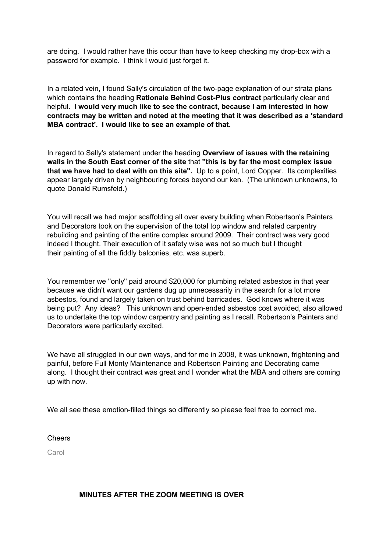are doing. I would rather have this occur than have to keep checking my drop-box with a password for example. I think I would just forget it.

In a related vein, I found Sally's circulation of the two-page explanation of our strata plans which contains the heading **Rationale Behind Cost-Plus contract** particularly clear and helpful**. I would very much like to see the contract, because I am interested in how contracts may be written and noted at the meeting that it was described as a 'standard MBA contract'. I would like to see an example of that.**

In regard to Sally's statement under the heading **Overview of issues with the retaining walls in the South East corner of the site** that **''this is by far the most complex issue that we have had to deal with on this site''.** Up to a point, Lord Copper. Its complexities appear largely driven by neighbouring forces beyond our ken. (The unknown unknowns, to quote Donald Rumsfeld.)

You will recall we had major scaffolding all over every building when Robertson's Painters and Decorators took on the supervision of the total top window and related carpentry rebuilding and painting of the entire complex around 2009. Their contract was very good indeed I thought. Their execution of it safety wise was not so much but I thought their painting of all the fiddly balconies, etc. was superb.

You remember we ''only'' paid around \$20,000 for plumbing related asbestos in that year because we didn't want our gardens dug up unnecessarily in the search for a lot more asbestos, found and largely taken on trust behind barricades. God knows where it was being put? Any ideas? This unknown and open-ended asbestos cost avoided, also allowed us to undertake the top window carpentry and painting as I recall. Robertson's Painters and Decorators were particularly excited.

We have all struggled in our own ways, and for me in 2008, it was unknown, frightening and painful, before Full Monty Maintenance and Robertson Painting and Decorating came along. I thought their contract was great and I wonder what the MBA and others are coming up with now.

We all see these emotion-filled things so differently so please feel free to correct me.

### Cheers

Carol

### **MINUTES AFTER THE ZOOM MEETING IS OVER**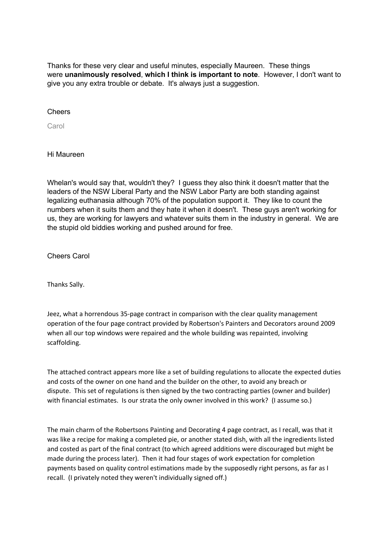Thanks for these very clear and useful minutes, especially Maureen. These things were **unanimously resolved**, **which I think is important to note**. However, I don't want to give you any extra trouble or debate. It's always just a suggestion.

**Cheers** 

Carol

Hi Maureen

Whelan's would say that, wouldn't they? I guess they also think it doesn't matter that the leaders of the NSW Liberal Party and the NSW Labor Party are both standing against legalizing euthanasia although 70% of the population support it. They like to count the numbers when it suits them and they hate it when it doesn't. These guys aren't working for us, they are working for lawyers and whatever suits them in the industry in general. We are the stupid old biddies working and pushed around for free.

Cheers Carol

Thanks Sally.

Jeez, what a horrendous 35-page contract in comparison with the clear quality management operation of the four page contract provided by Robertson's Painters and Decorators around 2009 when all our top windows were repaired and the whole building was repainted, involving scaffolding.

The attached contract appears more like a set of building regulations to allocate the expected duties and costs of the owner on one hand and the builder on the other, to avoid any breach or dispute. This set of regulations is then signed by the two contracting parties (owner and builder) with financial estimates. Is our strata the only owner involved in this work? (I assume so.)

The main charm of the Robertsons Painting and Decorating 4 page contract, as I recall, was that it was like a recipe for making a completed pie, or another stated dish, with all the ingredients listed and costed as part of the final contract (to which agreed additions were discouraged but might be made during the process later). Then it had four stages of work expectation for completion payments based on quality control estimations made by the supposedly right persons, as far as I recall. (I privately noted they weren't individually signed off.)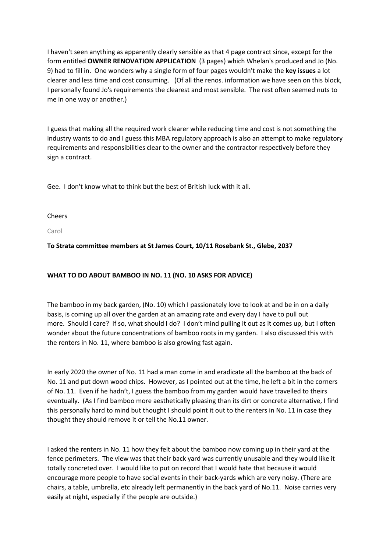I haven't seen anything as apparently clearly sensible as that 4 page contract since, except for the form entitled **OWNER RENOVATION APPLICATION** (3 pages) which Whelan's produced and Jo (No. 9) had to fill in. One wonders why a single form of four pages wouldn't make the **key issues** a lot clearer and less time and cost consuming. (Of all the renos. information we have seen on this block, I personally found Jo's requirements the clearest and most sensible. The rest often seemed nuts to me in one way or another.)

I guess that making all the required work clearer while reducing time and cost is not something the industry wants to do and I guess this MBA regulatory approach is also an attempt to make regulatory requirements and responsibilities clear to the owner and the contractor respectively before they sign a contract.

Gee. I don't know what to think but the best of British luck with it all.

Cheers

Carol

**To Strata committee members at St James Court, 10/11 Rosebank St., Glebe, 2037**

### **WHAT TO DO ABOUT BAMBOO IN NO. 11 (NO. 10 ASKS FOR ADVICE)**

The bamboo in my back garden, (No. 10) which I passionately love to look at and be in on a daily basis, is coming up all over the garden at an amazing rate and every day I have to pull out more. Should I care? If so, what should I do? I don't mind pulling it out as it comes up, but I often wonder about the future concentrations of bamboo roots in my garden. I also discussed this with the renters in No. 11, where bamboo is also growing fast again.

In early 2020 the owner of No. 11 had a man come in and eradicate all the bamboo at the back of No. 11 and put down wood chips. However, as I pointed out at the time, he left a bit in the corners of No. 11. Even if he hadn't, I guess the bamboo from my garden would have travelled to theirs eventually. (As I find bamboo more aesthetically pleasing than its dirt or concrete alternative, I find this personally hard to mind but thought I should point it out to the renters in No. 11 in case they thought they should remove it or tell the No.11 owner.

I asked the renters in No. 11 how they felt about the bamboo now coming up in their yard at the fence perimeters. The view was that their back yard was currently unusable and they would like it totally concreted over. I would like to put on record that I would hate that because it would encourage more people to have social events in their back-yards which are very noisy. (There are chairs, a table, umbrella, etc already left permanently in the back yard of No.11. Noise carries very easily at night, especially if the people are outside.)